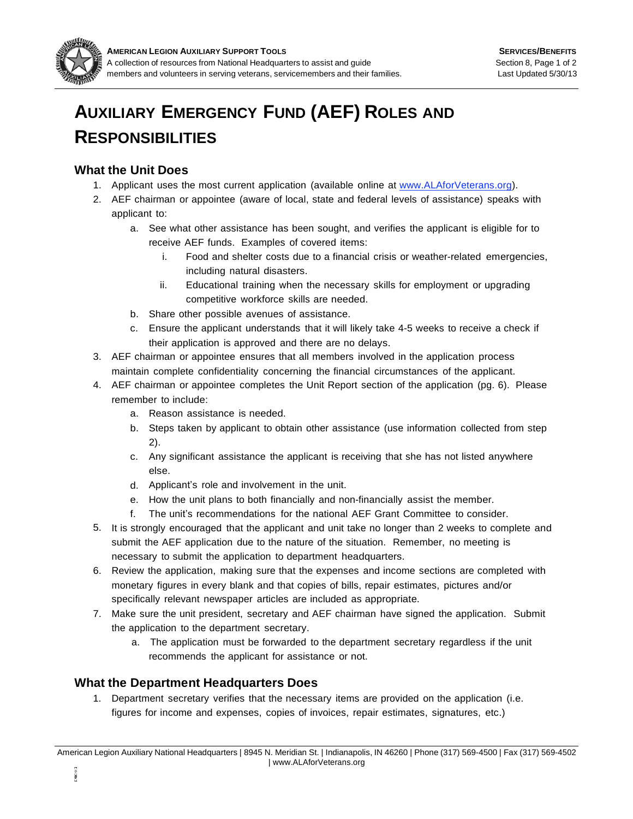

## **AUXILIARY EMERGENCY FUND (AEF) ROLES AND RESPONSIBILITIES**

## **What the Unit Does**

- 1. Applicant uses the most current application (available online at www.ALAforVeterans.org).
- 2. AEF chairman or appointee (aware of local, state and federal levels of assistance) speaks with applicant to:
	- a. See what other assistance has been sought, and verifies the applicant is eligible for to receive AEF funds. Examples of covered items:
		- i. Food and shelter costs due to a financial crisis or weather-related emergencies, including natural disasters.
		- Educational training when the necessary skills for employment or upgrading competitive workforce skills are needed. ii.
	- b. Share other possible avenues of assistance.
	- c. Ensure the applicant understands that it will likely take 4-5 weeks to receive a check if their application is approved and there are no delays.
- 3. AEF chairman or appointee ensures that all members involved in the application process maintain complete confidentiality concerning the financial circumstances of the applicant.
- AEF chairman or appointee completes the Unit Report section of the application (pg. 6). Please 4. remember to include:
	- a. Reason assistance is needed.
	- b. Steps taken by applicant to obtain other assistance (use information collected from step 2).
	- Any significant assistance the applicant is receiving that she has not listed anywhere c. else.
	- d. Applicant's role and involvement in the unit.
	- e. How the unit plans to both financially and non-financially assist the member.
	- The unit's recommendations for the national AEF Grant Committee to consider. f.
- 5. It is strongly encouraged that the applicant and unit take no longer than 2 weeks to complete and submit the AEF application due to the nature of the situation. Remember, no meeting is necessary to submit the application to department headquarters.
- 6. Review the application, making sure that the expenses and income sections are completed with monetary figures in every blank and that copies of bills, repair estimates, pictures and/or specifically relevant newspaper articles are included as appropriate.
- Make sure the unit president, secretary and AEF chairman have signed the application. Submit 7. the application to the department secretary.
	- a. The application must be forwarded to the department secretary regardless if the unit recommends the applicant for assistance or not.

## **What the Department Headquarters Does**

1. Department secretary verifies that the necessary items are provided on the application (i.e. figures for income and expenses, copies of invoices, repair estimates, signatures, etc.)